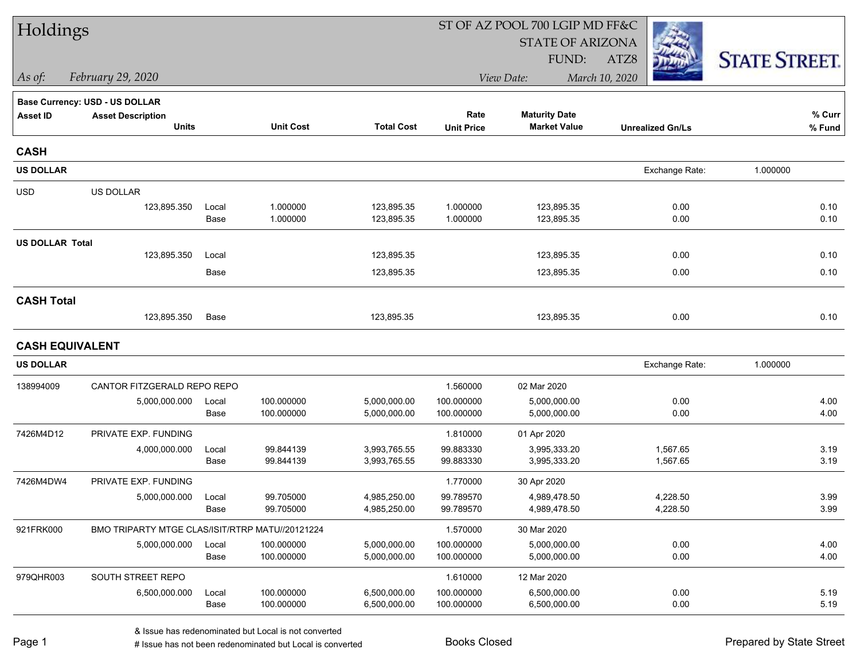| Holdings               |                                                 |       |                  |                   |                   | ST OF AZ POOL 700 LGIP MD FF&C |                         |                      |
|------------------------|-------------------------------------------------|-------|------------------|-------------------|-------------------|--------------------------------|-------------------------|----------------------|
|                        |                                                 |       |                  |                   |                   | <b>STATE OF ARIZONA</b>        |                         |                      |
|                        |                                                 |       |                  |                   |                   | FUND:                          | ATZ8                    | <b>STATE STREET.</b> |
| As of:                 | February 29, 2020                               |       |                  |                   |                   | View Date:                     | March 10, 2020          |                      |
|                        | Base Currency: USD - US DOLLAR                  |       |                  |                   |                   |                                |                         |                      |
| <b>Asset ID</b>        | <b>Asset Description</b>                        |       |                  |                   | Rate              | <b>Maturity Date</b>           |                         | % Curr               |
|                        | <b>Units</b>                                    |       | <b>Unit Cost</b> | <b>Total Cost</b> | <b>Unit Price</b> | <b>Market Value</b>            | <b>Unrealized Gn/Ls</b> | % Fund               |
| <b>CASH</b>            |                                                 |       |                  |                   |                   |                                |                         |                      |
| <b>US DOLLAR</b>       |                                                 |       |                  |                   |                   |                                | Exchange Rate:          | 1.000000             |
| <b>USD</b>             | US DOLLAR                                       |       |                  |                   |                   |                                |                         |                      |
|                        | 123,895.350                                     | Local | 1.000000         | 123,895.35        | 1.000000          | 123,895.35                     | 0.00                    | 0.10                 |
|                        |                                                 | Base  | 1.000000         | 123,895.35        | 1.000000          | 123,895.35                     | 0.00                    | 0.10                 |
| <b>US DOLLAR Total</b> |                                                 |       |                  |                   |                   |                                |                         |                      |
|                        | 123,895.350                                     | Local |                  | 123,895.35        |                   | 123,895.35                     | 0.00                    | 0.10                 |
|                        |                                                 | Base  |                  | 123,895.35        |                   | 123,895.35                     | 0.00                    | 0.10                 |
| <b>CASH Total</b>      |                                                 |       |                  |                   |                   |                                |                         |                      |
|                        | 123,895.350                                     | Base  |                  | 123,895.35        |                   | 123,895.35                     | 0.00                    | 0.10                 |
| <b>CASH EQUIVALENT</b> |                                                 |       |                  |                   |                   |                                |                         |                      |
| <b>US DOLLAR</b>       |                                                 |       |                  |                   |                   |                                | Exchange Rate:          | 1.000000             |
| 138994009              | CANTOR FITZGERALD REPO REPO                     |       |                  |                   | 1.560000          | 02 Mar 2020                    |                         |                      |
|                        | 5,000,000.000                                   | Local | 100.000000       | 5,000,000.00      | 100.000000        | 5,000,000.00                   | 0.00                    | 4.00                 |
|                        |                                                 | Base  | 100.000000       | 5,000,000.00      | 100.000000        | 5,000,000.00                   | 0.00                    | 4.00                 |
| 7426M4D12              | PRIVATE EXP. FUNDING                            |       |                  |                   | 1.810000          | 01 Apr 2020                    |                         |                      |
|                        | 4,000,000.000                                   | Local | 99.844139        | 3,993,765.55      | 99.883330         | 3,995,333.20                   | 1,567.65                | 3.19                 |
|                        |                                                 | Base  | 99.844139        | 3,993,765.55      | 99.883330         | 3,995,333.20                   | 1,567.65                | 3.19                 |
| 7426M4DW4              | PRIVATE EXP. FUNDING                            |       |                  |                   | 1.770000          | 30 Apr 2020                    |                         |                      |
|                        | 5,000,000.000                                   | Local | 99.705000        | 4,985,250.00      | 99.789570         | 4,989,478.50                   | 4,228.50                | 3.99                 |
|                        |                                                 | Base  | 99.705000        | 4,985,250.00      | 99.789570         | 4,989,478.50                   | 4,228.50                | 3.99                 |
| 921FRK000              | BMO TRIPARTY MTGE CLAS/ISIT/RTRP MATU//20121224 |       |                  |                   | 1.570000          | 30 Mar 2020                    |                         |                      |
|                        | 5,000,000.000                                   | Local | 100.000000       | 5,000,000.00      | 100.000000        | 5,000,000.00                   | 0.00                    | 4.00                 |
|                        |                                                 | Base  | 100.000000       | 5,000,000.00      | 100.000000        | 5,000,000.00                   | 0.00                    | 4.00                 |
| 979QHR003              | SOUTH STREET REPO                               |       |                  |                   | 1.610000          | 12 Mar 2020                    |                         |                      |
|                        | 6,500,000.000                                   | Local | 100.000000       | 6,500,000.00      | 100.000000        | 6,500,000.00                   | 0.00                    | 5.19                 |
|                        |                                                 | Base  | 100.000000       | 6,500,000.00      | 100.000000        | 6,500,000.00                   | 0.00                    | 5.19                 |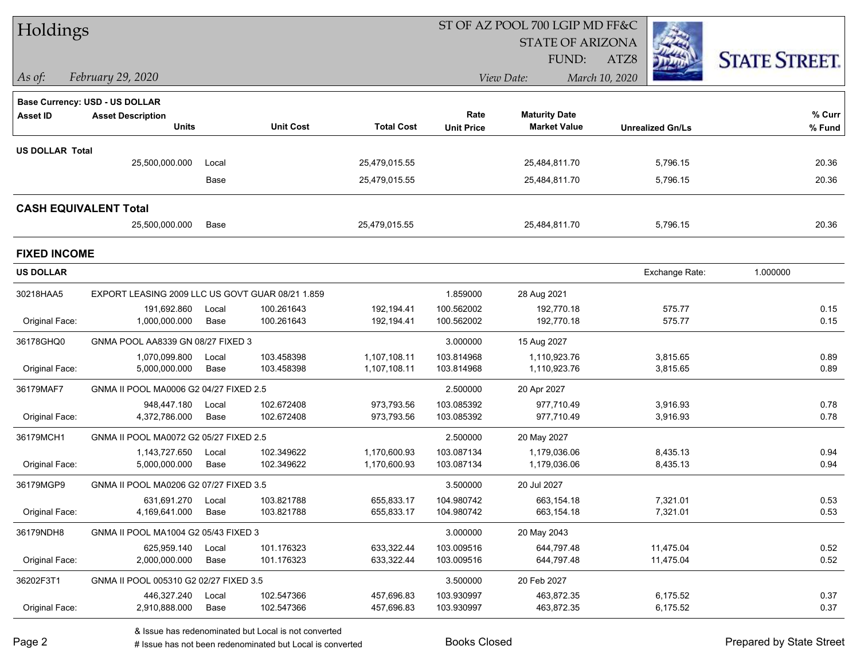| Holdings               |                                                  |               |                          |                          |                          | ST OF AZ POOL 700 LGIP MD FF&C |                         |                      |
|------------------------|--------------------------------------------------|---------------|--------------------------|--------------------------|--------------------------|--------------------------------|-------------------------|----------------------|
|                        |                                                  |               |                          |                          |                          | <b>STATE OF ARIZONA</b>        |                         |                      |
|                        |                                                  |               |                          |                          |                          | FUND:                          | ATZ8                    | <b>STATE STREET.</b> |
| $\vert$ As of:         | February 29, 2020                                |               |                          |                          |                          | View Date:                     | March 10, 2020          |                      |
|                        | <b>Base Currency: USD - US DOLLAR</b>            |               |                          |                          |                          |                                |                         |                      |
| <b>Asset ID</b>        | <b>Asset Description</b>                         |               |                          |                          | Rate                     | <b>Maturity Date</b>           |                         | $%$ Curr             |
|                        | <b>Units</b>                                     |               | <b>Unit Cost</b>         | <b>Total Cost</b>        | <b>Unit Price</b>        | <b>Market Value</b>            | <b>Unrealized Gn/Ls</b> | % Fund               |
| <b>US DOLLAR Total</b> |                                                  |               |                          |                          |                          |                                |                         |                      |
|                        | 25,500,000.000                                   | Local         |                          | 25,479,015.55            |                          | 25,484,811.70                  | 5,796.15                | 20.36                |
|                        |                                                  | Base          |                          | 25,479,015.55            |                          | 25,484,811.70                  | 5,796.15                | 20.36                |
|                        | <b>CASH EQUIVALENT Total</b>                     |               |                          |                          |                          |                                |                         |                      |
|                        | 25,500,000.000                                   | Base          |                          | 25,479,015.55            |                          | 25,484,811.70                  | 5,796.15                | 20.36                |
| <b>FIXED INCOME</b>    |                                                  |               |                          |                          |                          |                                |                         |                      |
| <b>US DOLLAR</b>       |                                                  |               |                          |                          |                          |                                | Exchange Rate:          | 1.000000             |
| 30218HAA5              | EXPORT LEASING 2009 LLC US GOVT GUAR 08/21 1.859 |               |                          |                          | 1.859000                 | 28 Aug 2021                    |                         |                      |
| Original Face:         | 191.692.860<br>1,000,000.000                     | Local<br>Base | 100.261643<br>100.261643 | 192,194.41<br>192,194.41 | 100.562002<br>100.562002 | 192,770.18<br>192,770.18       | 575.77<br>575.77        | 0.15<br>0.15         |
| 36178GHQ0              | GNMA POOL AA8339 GN 08/27 FIXED 3                |               |                          |                          | 3.000000                 | 15 Aug 2027                    |                         |                      |
|                        | 1,070,099.800                                    | Local         | 103.458398               | 1,107,108.11             | 103.814968               | 1,110,923.76                   | 3,815.65                | 0.89                 |
| Original Face:         | 5,000,000.000                                    | Base          | 103.458398               | 1,107,108.11             | 103.814968               | 1,110,923.76                   | 3,815.65                | 0.89                 |
| 36179MAF7              | GNMA II POOL MA0006 G2 04/27 FIXED 2.5           |               |                          |                          | 2.500000                 | 20 Apr 2027                    |                         |                      |
|                        | 948,447.180                                      | Local         | 102.672408               | 973,793.56               | 103.085392               | 977,710.49                     | 3,916.93                | 0.78                 |
| Original Face:         | 4,372,786.000                                    | Base          | 102.672408               | 973,793.56               | 103.085392               | 977,710.49                     | 3,916.93                | 0.78                 |
| 36179MCH1              | GNMA II POOL MA0072 G2 05/27 FIXED 2.5           |               |                          |                          | 2.500000                 | 20 May 2027                    |                         |                      |
|                        | 1,143,727.650                                    | Local         | 102.349622               | 1,170,600.93             | 103.087134               | 1,179,036.06                   | 8,435.13                | 0.94                 |
| Original Face:         | 5,000,000.000                                    | Base          | 102.349622               | 1,170,600.93             | 103.087134               | 1,179,036.06                   | 8,435.13                | 0.94                 |
| 36179MGP9              | GNMA II POOL MA0206 G2 07/27 FIXED 3.5           |               |                          |                          | 3.500000                 | 20 Jul 2027                    |                         |                      |
|                        | 631,691.270                                      | Local         | 103.821788               | 655,833.17               | 104.980742               | 663,154.18                     | 7,321.01                | 0.53                 |
| Original Face:         | 4,169,641.000                                    | Base          | 103.821788               | 655,833.17               | 104.980742               | 663,154.18                     | 7,321.01                | 0.53                 |
| 36179NDH8              | GNMA II POOL MA1004 G2 05/43 FIXED 3             |               |                          |                          | 3.000000                 | 20 May 2043                    |                         |                      |
|                        | 625,959.140                                      | Local         | 101.176323               | 633,322.44               | 103.009516               | 644,797.48                     | 11,475.04               | 0.52                 |
| Original Face:         | 2,000,000.000                                    | Base          | 101.176323               | 633,322.44               | 103.009516               | 644,797.48                     | 11,475.04               | 0.52                 |
| 36202F3T1              | GNMA II POOL 005310 G2 02/27 FIXED 3.5           |               |                          |                          | 3.500000                 | 20 Feb 2027                    |                         |                      |
| Original Face:         | 446,327.240<br>2,910,888.000                     | Local<br>Base | 102.547366<br>102.547366 | 457,696.83<br>457,696.83 | 103.930997<br>103.930997 | 463,872.35<br>463,872.35       | 6,175.52<br>6,175.52    | 0.37<br>0.37         |
|                        |                                                  |               |                          |                          |                          |                                |                         |                      |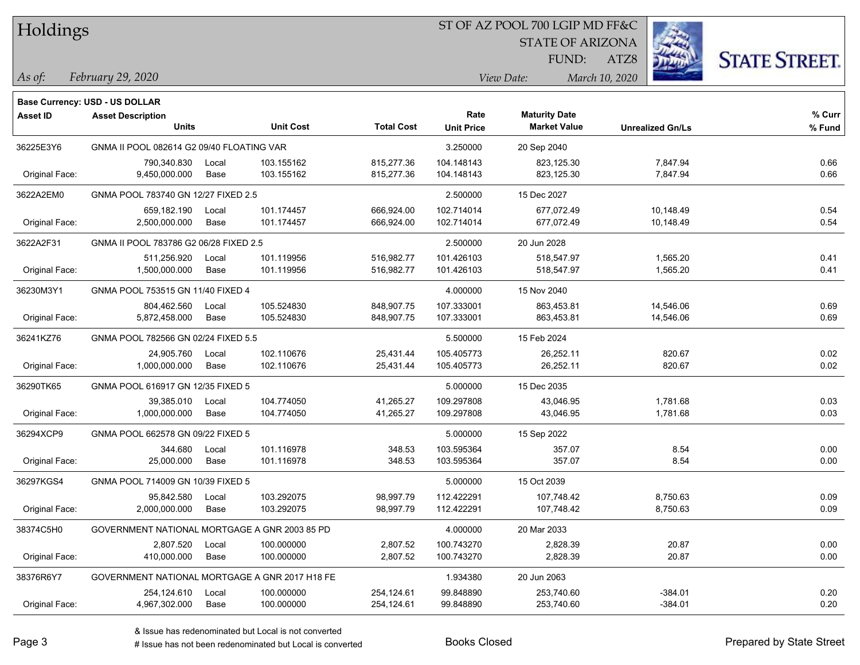|  | <b>Holdings</b> |
|--|-----------------|
|  |                 |

## ST OF AZ POOL 700 LGIP MD FF&C

STATE OF ARIZONA

ATZ8



*February 29, 2020 As of: View Date: March 10, 2020*

**Base Currency: USD - US DOLLAR**

FUND:

| <b>Asset ID</b> | <b>Asset Description</b><br><b>Units</b>       |       | <b>Unit Cost</b> | <b>Total Cost</b> | Rate<br><b>Unit Price</b> | <b>Maturity Date</b><br><b>Market Value</b> | <b>Unrealized Gn/Ls</b> | % Curr |
|-----------------|------------------------------------------------|-------|------------------|-------------------|---------------------------|---------------------------------------------|-------------------------|--------|
|                 |                                                |       |                  |                   |                           |                                             |                         | % Fund |
| 36225E3Y6       | GNMA II POOL 082614 G2 09/40 FLOATING VAR      |       |                  |                   | 3.250000                  | 20 Sep 2040                                 |                         |        |
|                 | 790,340.830                                    | Local | 103.155162       | 815,277.36        | 104.148143                | 823,125.30                                  | 7,847.94                | 0.66   |
| Original Face:  | 9,450,000.000                                  | Base  | 103.155162       | 815,277.36        | 104.148143                | 823,125.30                                  | 7,847.94                | 0.66   |
| 3622A2EM0       | GNMA POOL 783740 GN 12/27 FIXED 2.5            |       |                  |                   | 2.500000                  | 15 Dec 2027                                 |                         |        |
|                 | 659,182.190                                    | Local | 101.174457       | 666,924.00        | 102.714014                | 677,072.49                                  | 10,148.49               | 0.54   |
| Original Face:  | 2,500,000.000                                  | Base  | 101.174457       | 666,924.00        | 102.714014                | 677,072.49                                  | 10,148.49               | 0.54   |
| 3622A2F31       | GNMA II POOL 783786 G2 06/28 FIXED 2.5         |       |                  |                   | 2.500000                  | 20 Jun 2028                                 |                         |        |
|                 | 511,256.920                                    | Local | 101.119956       | 516,982.77        | 101.426103                | 518,547.97                                  | 1,565.20                | 0.41   |
| Original Face:  | 1,500,000.000                                  | Base  | 101.119956       | 516,982.77        | 101.426103                | 518,547.97                                  | 1,565.20                | 0.41   |
| 36230M3Y1       | GNMA POOL 753515 GN 11/40 FIXED 4              |       |                  |                   | 4.000000                  | 15 Nov 2040                                 |                         |        |
|                 | 804,462.560                                    | Local | 105.524830       | 848,907.75        | 107.333001                | 863,453.81                                  | 14,546.06               | 0.69   |
| Original Face:  | 5,872,458.000                                  | Base  | 105.524830       | 848,907.75        | 107.333001                | 863,453.81                                  | 14,546.06               | 0.69   |
| 36241KZ76       | GNMA POOL 782566 GN 02/24 FIXED 5.5            |       |                  |                   | 5.500000                  | 15 Feb 2024                                 |                         |        |
|                 | 24,905.760                                     | Local | 102.110676       | 25,431.44         | 105.405773                | 26,252.11                                   | 820.67                  | 0.02   |
| Original Face:  | 1,000,000.000                                  | Base  | 102.110676       | 25,431.44         | 105.405773                | 26,252.11                                   | 820.67                  | 0.02   |
| 36290TK65       | GNMA POOL 616917 GN 12/35 FIXED 5              |       |                  |                   | 5.000000                  | 15 Dec 2035                                 |                         |        |
|                 | 39,385.010                                     | Local | 104.774050       | 41,265.27         | 109.297808                | 43,046.95                                   | 1,781.68                | 0.03   |
| Original Face:  | 1,000,000.000                                  | Base  | 104.774050       | 41,265.27         | 109.297808                | 43,046.95                                   | 1,781.68                | 0.03   |
| 36294XCP9       | GNMA POOL 662578 GN 09/22 FIXED 5              |       |                  |                   | 5.000000                  | 15 Sep 2022                                 |                         |        |
|                 | 344.680                                        | Local | 101.116978       | 348.53            | 103.595364                | 357.07                                      | 8.54                    | 0.00   |
| Original Face:  | 25,000.000                                     | Base  | 101.116978       | 348.53            | 103.595364                | 357.07                                      | 8.54                    | 0.00   |
| 36297KGS4       | GNMA POOL 714009 GN 10/39 FIXED 5              |       |                  |                   | 5.000000                  | 15 Oct 2039                                 |                         |        |
|                 | 95,842.580                                     | Local | 103.292075       | 98,997.79         | 112.422291                | 107,748.42                                  | 8,750.63                | 0.09   |
| Original Face:  | 2,000,000.000                                  | Base  | 103.292075       | 98,997.79         | 112.422291                | 107,748.42                                  | 8,750.63                | 0.09   |
| 38374C5H0       | GOVERNMENT NATIONAL MORTGAGE A GNR 2003 85 PD  |       |                  |                   | 4.000000                  | 20 Mar 2033                                 |                         |        |
|                 | 2,807.520                                      | Local | 100.000000       | 2,807.52          | 100.743270                | 2,828.39                                    | 20.87                   | 0.00   |
| Original Face:  | 410,000.000                                    | Base  | 100.000000       | 2,807.52          | 100.743270                | 2,828.39                                    | 20.87                   | 0.00   |
| 38376R6Y7       | GOVERNMENT NATIONAL MORTGAGE A GNR 2017 H18 FE |       |                  |                   | 1.934380                  | 20 Jun 2063                                 |                         |        |
|                 | 254,124.610                                    | Local | 100.000000       | 254,124.61        | 99.848890                 | 253,740.60                                  | $-384.01$               | 0.20   |
| Original Face:  | 4,967,302.000                                  | Base  | 100.000000       | 254,124.61        | 99.848890                 | 253,740.60                                  | $-384.01$               | 0.20   |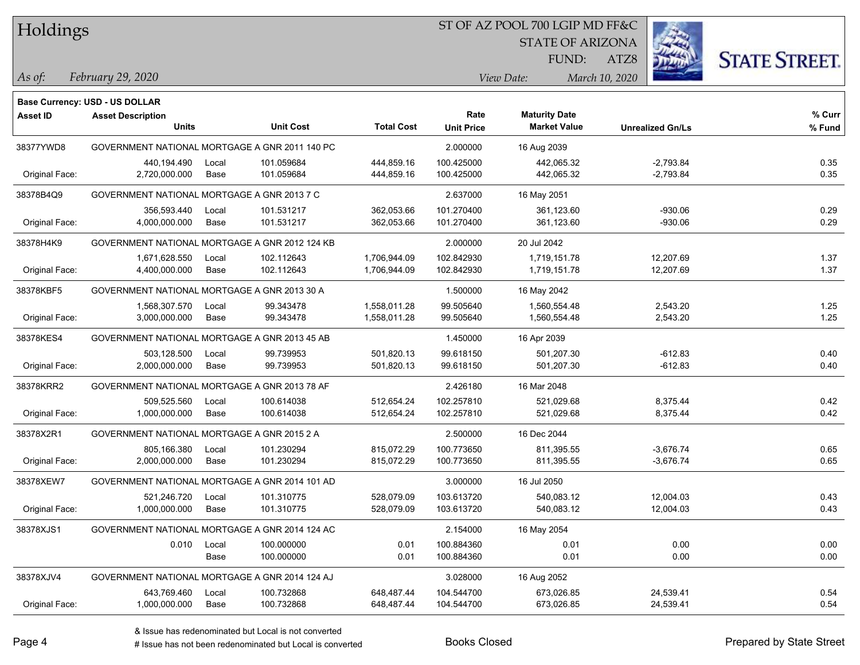Holdings

### ST OF AZ POOL 700 LGIP MD FF&C

STATE OF ARIZONA

ATZ8



*February 29, 2020 As of: View Date: March 10, 2020*

**Base Currency: USD - US DOLLAR**

FUND:

| <b>Asset ID</b> | <b>Asset Description</b><br><b>Units</b>       |       | <b>Unit Cost</b> | <b>Total Cost</b> | Rate<br><b>Unit Price</b> | <b>Maturity Date</b><br><b>Market Value</b> | <b>Unrealized Gn/Ls</b> | % Curr<br>% Fund |
|-----------------|------------------------------------------------|-------|------------------|-------------------|---------------------------|---------------------------------------------|-------------------------|------------------|
| 38377YWD8       | GOVERNMENT NATIONAL MORTGAGE A GNR 2011 140 PC |       |                  |                   | 2.000000                  | 16 Aug 2039                                 |                         |                  |
|                 | 440,194.490                                    | Local | 101.059684       | 444,859.16        | 100.425000                | 442,065.32                                  | $-2,793.84$             | 0.35             |
| Original Face:  | 2,720,000.000                                  | Base  | 101.059684       | 444,859.16        | 100.425000                | 442,065.32                                  | $-2,793.84$             | 0.35             |
| 38378B4Q9       | GOVERNMENT NATIONAL MORTGAGE A GNR 2013 7 C    |       |                  |                   | 2.637000                  | 16 May 2051                                 |                         |                  |
|                 | 356,593.440                                    | Local | 101.531217       | 362,053.66        | 101.270400                | 361,123.60                                  | $-930.06$               | 0.29             |
| Original Face:  | 4,000,000.000                                  | Base  | 101.531217       | 362,053.66        | 101.270400                | 361,123.60                                  | $-930.06$               | 0.29             |
| 38378H4K9       | GOVERNMENT NATIONAL MORTGAGE A GNR 2012 124 KB |       |                  |                   | 2.000000                  | 20 Jul 2042                                 |                         |                  |
|                 | 1,671,628.550                                  | Local | 102.112643       | 1,706,944.09      | 102.842930                | 1,719,151.78                                | 12,207.69               | 1.37             |
| Original Face:  | 4,400,000.000                                  | Base  | 102.112643       | 1,706,944.09      | 102.842930                | 1,719,151.78                                | 12,207.69               | 1.37             |
| 38378KBF5       | GOVERNMENT NATIONAL MORTGAGE A GNR 2013 30 A   |       |                  |                   | 1.500000                  | 16 May 2042                                 |                         |                  |
|                 | 1,568,307.570                                  | Local | 99.343478        | 1,558,011.28      | 99.505640                 | 1,560,554.48                                | 2,543.20                | 1.25             |
| Original Face:  | 3,000,000.000                                  | Base  | 99.343478        | 1,558,011.28      | 99.505640                 | 1,560,554.48                                | 2,543.20                | 1.25             |
| 38378KES4       | GOVERNMENT NATIONAL MORTGAGE A GNR 2013 45 AB  |       |                  |                   | 1.450000                  | 16 Apr 2039                                 |                         |                  |
|                 | 503,128.500                                    | Local | 99.739953        | 501,820.13        | 99.618150                 | 501,207.30                                  | $-612.83$               | 0.40             |
| Original Face:  | 2,000,000.000                                  | Base  | 99.739953        | 501,820.13        | 99.618150                 | 501,207.30                                  | $-612.83$               | 0.40             |
| 38378KRR2       | GOVERNMENT NATIONAL MORTGAGE A GNR 2013 78 AF  |       |                  |                   | 2.426180                  | 16 Mar 2048                                 |                         |                  |
|                 | 509,525.560                                    | Local | 100.614038       | 512,654.24        | 102.257810                | 521,029.68                                  | 8,375.44                | 0.42             |
| Original Face:  | 1,000,000.000                                  | Base  | 100.614038       | 512,654.24        | 102.257810                | 521,029.68                                  | 8,375.44                | 0.42             |
| 38378X2R1       | GOVERNMENT NATIONAL MORTGAGE A GNR 2015 2 A    |       |                  |                   | 2.500000                  | 16 Dec 2044                                 |                         |                  |
|                 | 805,166.380                                    | Local | 101.230294       | 815.072.29        | 100.773650                | 811,395.55                                  | $-3,676.74$             | 0.65             |
| Original Face:  | 2,000,000.000                                  | Base  | 101.230294       | 815,072.29        | 100.773650                | 811,395.55                                  | $-3,676.74$             | 0.65             |
| 38378XEW7       | GOVERNMENT NATIONAL MORTGAGE A GNR 2014 101 AD |       |                  |                   | 3.000000                  | 16 Jul 2050                                 |                         |                  |
|                 | 521,246.720                                    | Local | 101.310775       | 528,079.09        | 103.613720                | 540,083.12                                  | 12,004.03               | 0.43             |
| Original Face:  | 1,000,000.000                                  | Base  | 101.310775       | 528,079.09        | 103.613720                | 540,083.12                                  | 12,004.03               | 0.43             |
| 38378XJS1       | GOVERNMENT NATIONAL MORTGAGE A GNR 2014 124 AC |       |                  |                   | 2.154000                  | 16 May 2054                                 |                         |                  |
|                 | 0.010                                          | Local | 100.000000       | 0.01              | 100.884360                | 0.01                                        | 0.00                    | 0.00             |
|                 |                                                | Base  | 100.000000       | 0.01              | 100.884360                | 0.01                                        | 0.00                    | 0.00             |
| 38378XJV4       | GOVERNMENT NATIONAL MORTGAGE A GNR 2014 124 AJ |       |                  |                   | 3.028000                  | 16 Aug 2052                                 |                         |                  |
|                 | 643,769.460                                    | Local | 100.732868       | 648.487.44        | 104.544700                | 673.026.85                                  | 24,539.41               | 0.54             |

Original Face: 1,000,000.000 Base 100.732868 648,487.44 104.544700 673,026.85 24,539.41 0.54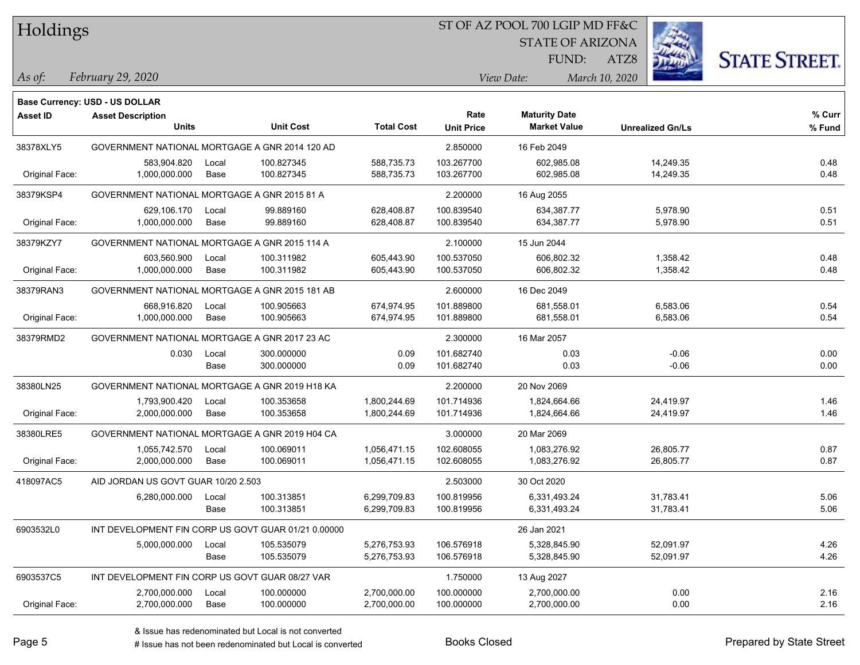Holdings

### ST OF AZ POOL 700 LGIP MD FF&C

STATE OF ARIZONA

ATZ8



*February 29, 2020 As of: View Date: March 10, 2020*

**Base Currency: USD - US DOLLAR**

FUND:

| Asset ID       | <b>Asset Description</b>                            |       |                  |                   | Rate              | <b>Maturity Date</b> |                         | % Curr |
|----------------|-----------------------------------------------------|-------|------------------|-------------------|-------------------|----------------------|-------------------------|--------|
|                | <b>Units</b>                                        |       | <b>Unit Cost</b> | <b>Total Cost</b> | <b>Unit Price</b> | <b>Market Value</b>  | <b>Unrealized Gn/Ls</b> | % Fund |
| 38378XLY5      | GOVERNMENT NATIONAL MORTGAGE A GNR 2014 120 AD      |       |                  |                   | 2.850000          | 16 Feb 2049          |                         |        |
|                | 583,904.820                                         | Local | 100.827345       | 588,735.73        | 103.267700        | 602,985.08           | 14,249.35               | 0.48   |
| Original Face: | 1,000,000.000                                       | Base  | 100.827345       | 588,735.73        | 103.267700        | 602,985.08           | 14,249.35               | 0.48   |
| 38379KSP4      | GOVERNMENT NATIONAL MORTGAGE A GNR 2015 81 A        |       |                  |                   | 2.200000          | 16 Aug 2055          |                         |        |
|                | 629,106.170                                         | Local | 99.889160        | 628,408.87        | 100.839540        | 634,387.77           | 5,978.90                | 0.51   |
| Original Face: | 1,000,000.000                                       | Base  | 99.889160        | 628,408.87        | 100.839540        | 634,387.77           | 5,978.90                | 0.51   |
| 38379KZY7      | GOVERNMENT NATIONAL MORTGAGE A GNR 2015 114 A       |       |                  |                   | 2.100000          | 15 Jun 2044          |                         |        |
|                | 603,560.900                                         | Local | 100.311982       | 605,443.90        | 100.537050        | 606,802.32           | 1,358.42                | 0.48   |
| Original Face: | 1,000,000.000                                       | Base  | 100.311982       | 605,443.90        | 100.537050        | 606,802.32           | 1,358.42                | 0.48   |
| 38379RAN3      | GOVERNMENT NATIONAL MORTGAGE A GNR 2015 181 AB      |       |                  |                   | 2.600000          | 16 Dec 2049          |                         |        |
|                | 668,916.820                                         | Local | 100.905663       | 674,974.95        | 101.889800        | 681,558.01           | 6,583.06                | 0.54   |
| Original Face: | 1,000,000.000                                       | Base  | 100.905663       | 674,974.95        | 101.889800        | 681,558.01           | 6,583.06                | 0.54   |
| 38379RMD2      | GOVERNMENT NATIONAL MORTGAGE A GNR 2017 23 AC       |       |                  |                   | 2.300000          | 16 Mar 2057          |                         |        |
|                | 0.030                                               | Local | 300.000000       | 0.09              | 101.682740        | 0.03                 | $-0.06$                 | 0.00   |
|                |                                                     | Base  | 300.000000       | 0.09              | 101.682740        | 0.03                 | $-0.06$                 | 0.00   |
| 38380LN25      | GOVERNMENT NATIONAL MORTGAGE A GNR 2019 H18 KA      |       |                  |                   | 2.200000          | 20 Nov 2069          |                         |        |
|                | 1,793,900.420                                       | Local | 100.353658       | 1,800,244.69      | 101.714936        | 1,824,664.66         | 24,419.97               | 1.46   |
| Original Face: | 2,000,000.000                                       | Base  | 100.353658       | 1,800,244.69      | 101.714936        | 1,824,664.66         | 24,419.97               | 1.46   |
| 38380LRE5      | GOVERNMENT NATIONAL MORTGAGE A GNR 2019 H04 CA      |       |                  |                   | 3.000000          | 20 Mar 2069          |                         |        |
|                | 1,055,742.570                                       | Local | 100.069011       | 1,056,471.15      | 102.608055        | 1,083,276.92         | 26,805.77               | 0.87   |
| Original Face: | 2,000,000.000                                       | Base  | 100.069011       | 1,056,471.15      | 102.608055        | 1,083,276.92         | 26,805.77               | 0.87   |
| 418097AC5      | AID JORDAN US GOVT GUAR 10/20 2.503                 |       |                  |                   | 2.503000          | 30 Oct 2020          |                         |        |
|                | 6,280,000.000                                       | Local | 100.313851       | 6,299,709.83      | 100.819956        | 6,331,493.24         | 31,783.41               | 5.06   |
|                |                                                     | Base  | 100.313851       | 6,299,709.83      | 100.819956        | 6,331,493.24         | 31,783.41               | 5.06   |
| 6903532L0      | INT DEVELOPMENT FIN CORP US GOVT GUAR 01/21 0.00000 |       |                  |                   |                   | 26 Jan 2021          |                         |        |
|                | 5,000,000.000                                       | Local | 105.535079       | 5,276,753.93      | 106.576918        | 5,328,845.90         | 52,091.97               | 4.26   |
|                |                                                     | Base  | 105.535079       | 5,276,753.93      | 106.576918        | 5,328,845.90         | 52,091.97               | 4.26   |
| 6903537C5      | INT DEVELOPMENT FIN CORP US GOVT GUAR 08/27 VAR     |       |                  |                   | 1.750000          | 13 Aug 2027          |                         |        |
|                | 2,700,000.000                                       | Local | 100.000000       | 2,700,000.00      | 100.000000        | 2,700,000.00         | 0.00                    | 2.16   |
| Original Face: | 2,700,000.000                                       | Base  | 100.000000       | 2,700,000.00      | 100.000000        | 2,700,000.00         | 0.00                    | 2.16   |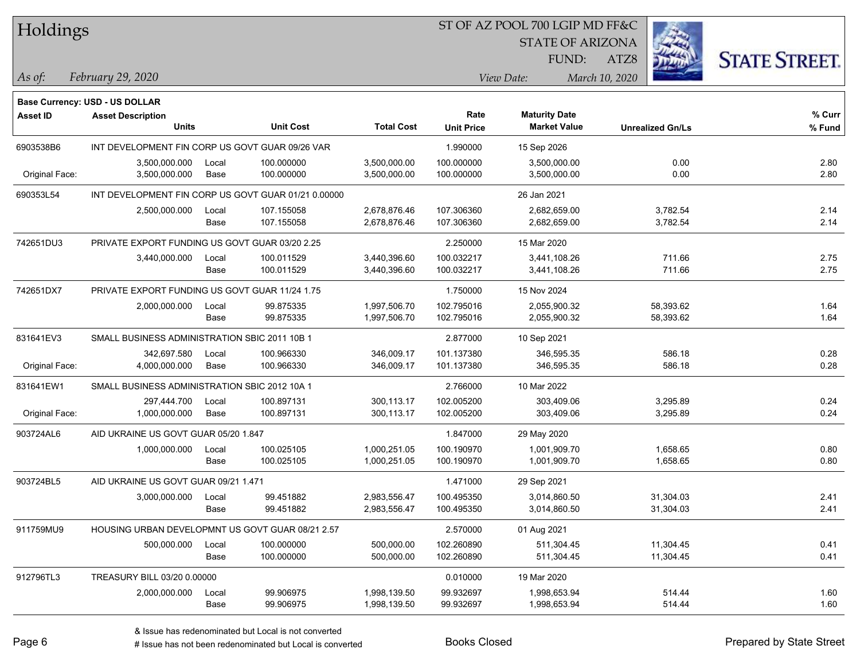| Holdings |  |  |  |
|----------|--|--|--|
|----------|--|--|--|

## ST OF AZ POOL 700 LGIP MD FF&C

STATE OF ARIZONA

ATZ8



*February 29, 2020 As of: View Date: March 10, 2020*

**Base Currency: USD - US DOLLAR**

FUND:

| <b>Asset ID</b> | <b>Asset Description</b><br><b>Units</b>            |       | <b>Unit Cost</b> | <b>Total Cost</b> | Rate<br><b>Unit Price</b> | <b>Maturity Date</b><br><b>Market Value</b> | <b>Unrealized Gn/Ls</b> | % Curr<br>% Fund |
|-----------------|-----------------------------------------------------|-------|------------------|-------------------|---------------------------|---------------------------------------------|-------------------------|------------------|
|                 |                                                     |       |                  |                   |                           |                                             |                         |                  |
| 6903538B6       | INT DEVELOPMENT FIN CORP US GOVT GUAR 09/26 VAR     |       |                  |                   | 1.990000                  | 15 Sep 2026                                 |                         |                  |
|                 | 3,500,000.000                                       | Local | 100.000000       | 3,500,000.00      | 100.000000                | 3,500,000.00                                | 0.00                    | 2.80             |
| Original Face:  | 3,500,000.000                                       | Base  | 100.000000       | 3,500,000.00      | 100.000000                | 3,500,000.00                                | 0.00                    | 2.80             |
| 690353L54       | INT DEVELOPMENT FIN CORP US GOVT GUAR 01/21 0.00000 |       |                  |                   |                           | 26 Jan 2021                                 |                         |                  |
|                 | 2,500,000.000                                       | Local | 107.155058       | 2,678,876.46      | 107.306360                | 2,682,659.00                                | 3,782.54                | 2.14             |
|                 |                                                     | Base  | 107.155058       | 2,678,876.46      | 107.306360                | 2,682,659.00                                | 3,782.54                | 2.14             |
| 742651DU3       | PRIVATE EXPORT FUNDING US GOVT GUAR 03/20 2.25      |       |                  |                   | 2.250000                  | 15 Mar 2020                                 |                         |                  |
|                 | 3,440,000.000                                       | Local | 100.011529       | 3,440,396.60      | 100.032217                | 3,441,108.26                                | 711.66                  | 2.75             |
|                 |                                                     | Base  | 100.011529       | 3,440,396.60      | 100.032217                | 3,441,108.26                                | 711.66                  | 2.75             |
| 742651DX7       | PRIVATE EXPORT FUNDING US GOVT GUAR 11/24 1.75      |       |                  |                   | 1.750000                  | 15 Nov 2024                                 |                         |                  |
|                 | 2,000,000.000                                       | Local | 99.875335        | 1,997,506.70      | 102.795016                | 2,055,900.32                                | 58,393.62               | 1.64             |
|                 |                                                     | Base  | 99.875335        | 1,997,506.70      | 102.795016                | 2,055,900.32                                | 58,393.62               | 1.64             |
| 831641EV3       | SMALL BUSINESS ADMINISTRATION SBIC 2011 10B 1       |       |                  |                   | 2.877000                  | 10 Sep 2021                                 |                         |                  |
|                 | 342,697.580                                         | Local | 100.966330       | 346,009.17        | 101.137380                | 346,595.35                                  | 586.18                  | 0.28             |
| Original Face:  | 4,000,000.000                                       | Base  | 100.966330       | 346,009.17        | 101.137380                | 346,595.35                                  | 586.18                  | 0.28             |
| 831641EW1       | SMALL BUSINESS ADMINISTRATION SBIC 2012 10A 1       |       |                  |                   | 2.766000                  | 10 Mar 2022                                 |                         |                  |
|                 | 297,444.700                                         | Local | 100.897131       | 300,113.17        | 102.005200                | 303,409.06                                  | 3,295.89                | 0.24             |
| Original Face:  | 1,000,000.000                                       | Base  | 100.897131       | 300,113.17        | 102.005200                | 303,409.06                                  | 3,295.89                | 0.24             |
| 903724AL6       | AID UKRAINE US GOVT GUAR 05/20 1.847                |       |                  |                   | 1.847000                  | 29 May 2020                                 |                         |                  |
|                 | 1,000,000.000                                       | Local | 100.025105       | 1,000,251.05      | 100.190970                | 1,001,909.70                                | 1,658.65                | 0.80             |
|                 |                                                     | Base  | 100.025105       | 1,000,251.05      | 100.190970                | 1,001,909.70                                | 1,658.65                | 0.80             |
| 903724BL5       | AID UKRAINE US GOVT GUAR 09/21 1.471                |       |                  |                   | 1.471000                  | 29 Sep 2021                                 |                         |                  |
|                 | 3,000,000.000                                       | Local | 99.451882        | 2,983,556.47      | 100.495350                | 3,014,860.50                                | 31,304.03               | 2.41             |
|                 |                                                     | Base  | 99.451882        | 2,983,556.47      | 100.495350                | 3,014,860.50                                | 31,304.03               | 2.41             |
| 911759MU9       | HOUSING URBAN DEVELOPMNT US GOVT GUAR 08/21 2.57    |       |                  |                   | 2.570000                  | 01 Aug 2021                                 |                         |                  |
|                 | 500,000.000                                         | Local | 100.000000       | 500,000.00        | 102.260890                | 511,304.45                                  | 11,304.45               | 0.41             |
|                 |                                                     | Base  | 100.000000       | 500,000.00        | 102.260890                | 511,304.45                                  | 11,304.45               | 0.41             |
| 912796TL3       | TREASURY BILL 03/20 0.00000                         |       |                  |                   | 0.010000                  | 19 Mar 2020                                 |                         |                  |

2,000,000.000 Local 99.906975 1,998,139.50 99.932697 1,998,653.94 514.44 1.60

Base 99.906975 1,998,139.50 99.932697 1,998,653.94 514.44 1.60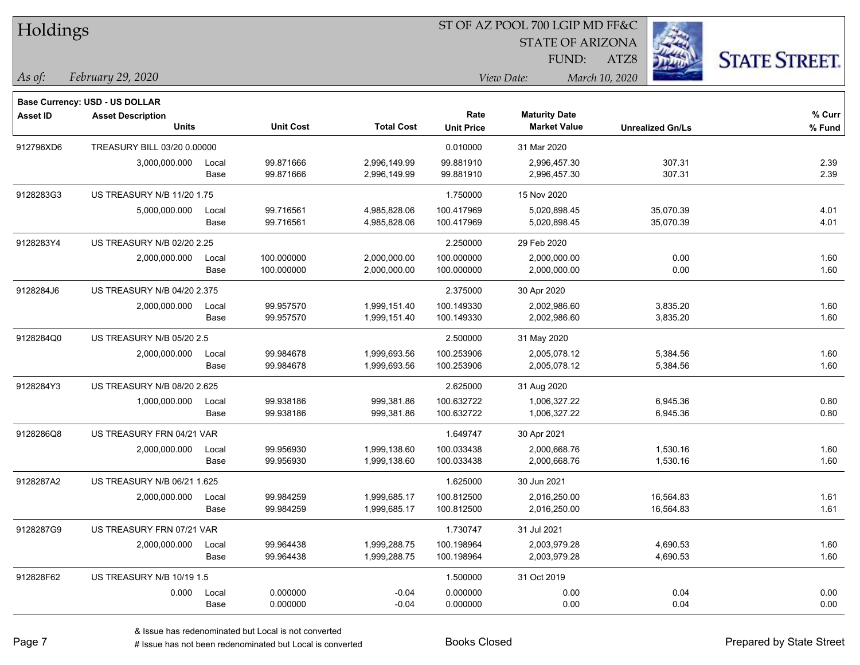| Holdings        |                                          |       |                  |                   |                           | ST OF AZ POOL 700 LGIP MD FF&C              |                         |                      |
|-----------------|------------------------------------------|-------|------------------|-------------------|---------------------------|---------------------------------------------|-------------------------|----------------------|
|                 |                                          |       |                  |                   |                           | <b>STATE OF ARIZONA</b>                     |                         |                      |
|                 |                                          |       |                  |                   |                           | <b>FUND:</b>                                | ATZ8                    | <b>STATE STREET.</b> |
| $\vert$ As of:  | February 29, 2020                        |       |                  |                   |                           | View Date:                                  | March 10, 2020          |                      |
|                 |                                          |       |                  |                   |                           |                                             |                         |                      |
|                 | Base Currency: USD - US DOLLAR           |       |                  |                   |                           |                                             |                         |                      |
| <b>Asset ID</b> | <b>Asset Description</b><br><b>Units</b> |       | <b>Unit Cost</b> | <b>Total Cost</b> | Rate<br><b>Unit Price</b> | <b>Maturity Date</b><br><b>Market Value</b> | <b>Unrealized Gn/Ls</b> | % Curr<br>% Fund     |
| 912796XD6       | TREASURY BILL 03/20 0.00000              |       |                  |                   | 0.010000                  | 31 Mar 2020                                 |                         |                      |
|                 | 3,000,000.000                            | Local | 99.871666        | 2,996,149.99      | 99.881910                 | 2,996,457.30                                | 307.31                  | 2.39                 |
|                 |                                          | Base  | 99.871666        | 2,996,149.99      | 99.881910                 | 2,996,457.30                                | 307.31                  | 2.39                 |
| 9128283G3       | US TREASURY N/B 11/20 1.75               |       |                  |                   | 1.750000                  | 15 Nov 2020                                 |                         |                      |
|                 | 5,000,000.000                            | Local | 99.716561        | 4,985,828.06      | 100.417969                | 5,020,898.45                                | 35,070.39               | 4.01                 |
|                 |                                          | Base  | 99.716561        | 4,985,828.06      | 100.417969                | 5,020,898.45                                | 35,070.39               | 4.01                 |
| 9128283Y4       | US TREASURY N/B 02/20 2.25               |       |                  |                   | 2.250000                  | 29 Feb 2020                                 |                         |                      |
|                 | 2,000,000.000                            | Local | 100.000000       | 2,000,000.00      | 100.000000                | 2,000,000.00                                | 0.00                    | 1.60                 |
|                 |                                          | Base  | 100.000000       | 2,000,000.00      | 100.000000                | 2,000,000.00                                | 0.00                    | 1.60                 |
| 9128284J6       | US TREASURY N/B 04/20 2.375              |       |                  |                   | 2.375000                  | 30 Apr 2020                                 |                         |                      |
|                 | 2,000,000.000                            | Local | 99.957570        | 1,999,151.40      | 100.149330                | 2,002,986.60                                | 3,835.20                | 1.60                 |
|                 |                                          | Base  | 99.957570        | 1,999,151.40      | 100.149330                | 2,002,986.60                                | 3,835.20                | 1.60                 |
| 9128284Q0       | US TREASURY N/B 05/20 2.5                |       |                  |                   | 2.500000                  | 31 May 2020                                 |                         |                      |
|                 | 2,000,000.000                            | Local | 99.984678        | 1,999,693.56      | 100.253906                | 2,005,078.12                                | 5,384.56                | 1.60                 |
|                 |                                          | Base  | 99.984678        | 1,999,693.56      | 100.253906                | 2,005,078.12                                | 5,384.56                | 1.60                 |
| 9128284Y3       | US TREASURY N/B 08/20 2.625              |       |                  |                   | 2.625000                  | 31 Aug 2020                                 |                         |                      |
|                 | 1,000,000.000                            | Local | 99.938186        | 999,381.86        | 100.632722                | 1,006,327.22                                | 6,945.36                | 0.80                 |
|                 |                                          | Base  | 99.938186        | 999,381.86        | 100.632722                | 1,006,327.22                                | 6,945.36                | 0.80                 |
| 9128286Q8       | US TREASURY FRN 04/21 VAR                |       |                  |                   | 1.649747                  | 30 Apr 2021                                 |                         |                      |
|                 | 2,000,000.000                            | Local | 99.956930        | 1,999,138.60      | 100.033438                | 2,000,668.76                                | 1,530.16                | 1.60                 |
|                 |                                          | Base  | 99.956930        | 1,999,138.60      | 100.033438                | 2,000,668.76                                | 1,530.16                | 1.60                 |
| 9128287A2       | US TREASURY N/B 06/21 1.625              |       |                  |                   | 1.625000                  | 30 Jun 2021                                 |                         |                      |
|                 | 2,000,000.000                            | Local | 99.984259        | 1,999,685.17      | 100.812500                | 2,016,250.00                                | 16,564.83               | 1.61                 |
|                 |                                          | Base  | 99.984259        | 1,999,685.17      | 100.812500                | 2,016,250.00                                | 16,564.83               | 1.61                 |
| 9128287G9       | US TREASURY FRN 07/21 VAR                |       |                  |                   | 1.730747                  | 31 Jul 2021                                 |                         |                      |
|                 | 2,000,000.000                            | Local | 99.964438        | 1,999,288.75      | 100.198964                | 2,003,979.28                                | 4,690.53                | 1.60                 |
|                 |                                          | Base  | 99.964438        | 1,999,288.75      | 100.198964                | 2,003,979.28                                | 4,690.53                | 1.60                 |
| 912828F62       | US TREASURY N/B 10/19 1.5                |       |                  |                   | 1.500000                  | 31 Oct 2019                                 |                         |                      |
|                 | 0.000                                    | Local | 0.000000         | $-0.04$           | 0.000000                  | 0.00                                        | 0.04                    | 0.00                 |
|                 |                                          | Base  | 0.000000         | $-0.04$           | 0.000000                  | 0.00                                        | 0.04                    | 0.00                 |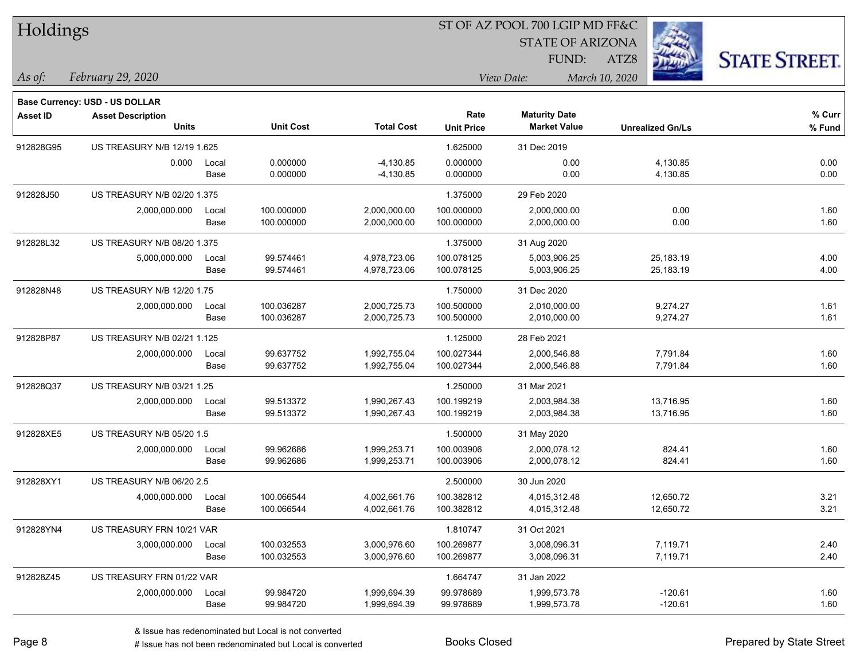| Holdings        |                                |       |                  |                   |                   | ST OF AZ POOL 700 LGIP MD FF&C |                         |                      |
|-----------------|--------------------------------|-------|------------------|-------------------|-------------------|--------------------------------|-------------------------|----------------------|
|                 |                                |       |                  |                   |                   | <b>STATE OF ARIZONA</b>        |                         |                      |
|                 |                                |       |                  |                   |                   | FUND:                          | ATZ8                    | <b>STATE STREET.</b> |
| $\vert$ As of:  | February 29, 2020              |       |                  |                   |                   | View Date:                     | March 10, 2020          |                      |
|                 | Base Currency: USD - US DOLLAR |       |                  |                   |                   |                                |                         |                      |
| <b>Asset ID</b> | <b>Asset Description</b>       |       |                  |                   | Rate              | <b>Maturity Date</b>           |                         | % Curr               |
|                 | <b>Units</b>                   |       | <b>Unit Cost</b> | <b>Total Cost</b> | <b>Unit Price</b> | <b>Market Value</b>            | <b>Unrealized Gn/Ls</b> | % Fund               |
| 912828G95       | US TREASURY N/B 12/19 1.625    |       |                  |                   | 1.625000          | 31 Dec 2019                    |                         |                      |
|                 | 0.000                          | Local | 0.000000         | $-4,130.85$       | 0.000000          | 0.00                           | 4,130.85                | 0.00                 |
|                 |                                | Base  | 0.000000         | $-4,130.85$       | 0.000000          | 0.00                           | 4,130.85                | 0.00                 |
| 912828J50       | US TREASURY N/B 02/20 1.375    |       |                  |                   | 1.375000          | 29 Feb 2020                    |                         |                      |
|                 | 2,000,000.000                  | Local | 100.000000       | 2,000,000.00      | 100.000000        | 2,000,000.00                   | 0.00                    | 1.60                 |
|                 |                                | Base  | 100.000000       | 2,000,000.00      | 100.000000        | 2,000,000.00                   | 0.00                    | 1.60                 |
| 912828L32       | US TREASURY N/B 08/20 1.375    |       |                  |                   | 1.375000          | 31 Aug 2020                    |                         |                      |
|                 | 5,000,000.000                  | Local | 99.574461        | 4,978,723.06      | 100.078125        | 5,003,906.25                   | 25,183.19               | 4.00                 |
|                 |                                | Base  | 99.574461        | 4,978,723.06      | 100.078125        | 5,003,906.25                   | 25,183.19               | 4.00                 |
| 912828N48       | US TREASURY N/B 12/20 1.75     |       |                  |                   | 1.750000          | 31 Dec 2020                    |                         |                      |
|                 | 2,000,000.000                  | Local | 100.036287       | 2,000,725.73      | 100.500000        | 2,010,000.00                   | 9,274.27                | 1.61                 |
|                 |                                | Base  | 100.036287       | 2,000,725.73      | 100.500000        | 2,010,000.00                   | 9,274.27                | 1.61                 |
| 912828P87       | US TREASURY N/B 02/21 1.125    |       |                  |                   | 1.125000          | 28 Feb 2021                    |                         |                      |
|                 | 2,000,000.000                  | Local | 99.637752        | 1,992,755.04      | 100.027344        | 2,000,546.88                   | 7,791.84                | 1.60                 |
|                 |                                | Base  | 99.637752        | 1,992,755.04      | 100.027344        | 2,000,546.88                   | 7,791.84                | 1.60                 |
| 912828Q37       | US TREASURY N/B 03/21 1.25     |       |                  |                   | 1.250000          | 31 Mar 2021                    |                         |                      |
|                 | 2,000,000.000                  | Local | 99.513372        | 1,990,267.43      | 100.199219        | 2,003,984.38                   | 13,716.95               | 1.60                 |
|                 |                                | Base  | 99.513372        | 1,990,267.43      | 100.199219        | 2,003,984.38                   | 13,716.95               | 1.60                 |
| 912828XE5       | US TREASURY N/B 05/20 1.5      |       |                  |                   | 1.500000          | 31 May 2020                    |                         |                      |
|                 | 2,000,000.000                  | Local | 99.962686        | 1,999,253.71      | 100.003906        | 2,000,078.12                   | 824.41                  | 1.60                 |
|                 |                                | Base  | 99.962686        | 1,999,253.71      | 100.003906        | 2,000,078.12                   | 824.41                  | 1.60                 |
| 912828XY1       | US TREASURY N/B 06/20 2.5      |       |                  |                   | 2.500000          | 30 Jun 2020                    |                         |                      |
|                 | 4,000,000.000                  | Local | 100.066544       | 4,002,661.76      | 100.382812        | 4,015,312.48                   | 12,650.72               | 3.21                 |
|                 |                                | Base  | 100.066544       | 4,002,661.76      | 100.382812        | 4,015,312.48                   | 12,650.72               | 3.21                 |
| 912828YN4       | US TREASURY FRN 10/21 VAR      |       |                  |                   | 1.810747          | 31 Oct 2021                    |                         |                      |
|                 | 3,000,000.000                  | Local | 100.032553       | 3,000,976.60      | 100.269877        | 3,008,096.31                   | 7,119.71                | 2.40                 |
|                 |                                | Base  | 100.032553       | 3,000,976.60      | 100.269877        | 3,008,096.31                   | 7,119.71                | 2.40                 |
| 912828Z45       | US TREASURY FRN 01/22 VAR      |       |                  |                   | 1.664747          | 31 Jan 2022                    |                         |                      |
|                 | 2,000,000.000                  | Local | 99.984720        | 1,999,694.39      | 99.978689         | 1,999,573.78                   | $-120.61$               | 1.60                 |
|                 |                                | Base  | 99.984720        | 1,999,694.39      | 99.978689         | 1,999,573.78                   | $-120.61$               | 1.60                 |

ST OF AZ POOL 700 LGIP MD FF&C

denote the redenominated but Local is converted Books Closed Prepared by State Street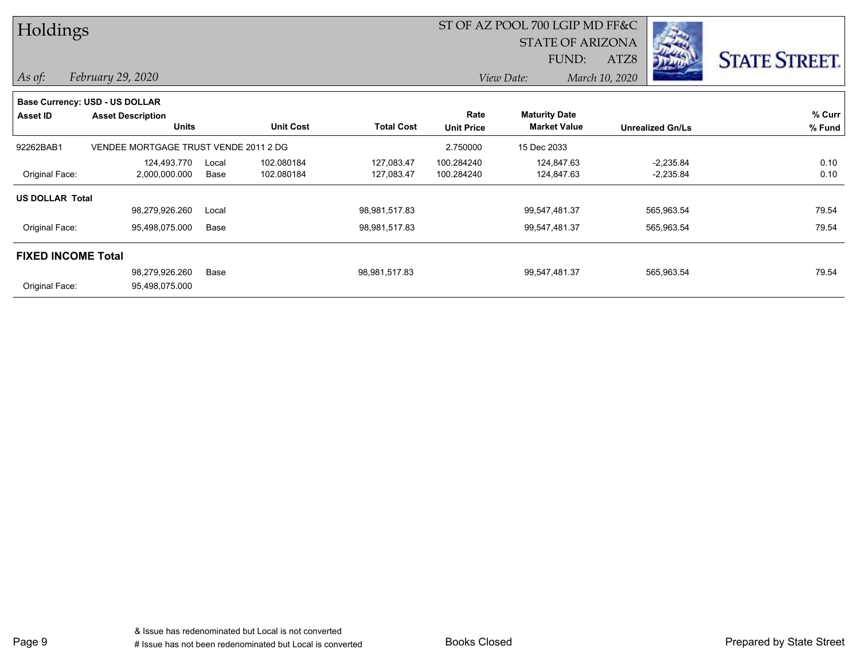| Holdings                  |                                       |       |                  |                   |                   | ST OF AZ POOL 700 LGIP MD FF&C |                         |                      |
|---------------------------|---------------------------------------|-------|------------------|-------------------|-------------------|--------------------------------|-------------------------|----------------------|
|                           |                                       |       |                  |                   |                   | <b>STATE OF ARIZONA</b>        | <b>STATISTICS</b>       |                      |
|                           |                                       |       |                  |                   |                   | FUND:                          | ATZ8                    | <b>STATE STREET.</b> |
| $\vert$ As of:            | February 29, 2020                     |       |                  |                   |                   | View Date:                     | March 10, 2020          |                      |
|                           | <b>Base Currency: USD - US DOLLAR</b> |       |                  |                   |                   |                                |                         |                      |
| <b>Asset ID</b>           | <b>Asset Description</b>              |       |                  |                   | Rate              | <b>Maturity Date</b>           |                         | % Curr               |
|                           | <b>Units</b>                          |       | <b>Unit Cost</b> | <b>Total Cost</b> | <b>Unit Price</b> | <b>Market Value</b>            | <b>Unrealized Gn/Ls</b> | % Fund               |
| 92262BAB1                 | VENDEE MORTGAGE TRUST VENDE 2011 2 DG |       |                  |                   | 2.750000          | 15 Dec 2033                    |                         |                      |
|                           | 124,493.770                           | Local | 102.080184       | 127,083.47        | 100.284240        | 124,847.63                     | $-2,235.84$             | 0.10                 |
| Original Face:            | 2,000,000.000                         | Base  | 102.080184       | 127,083.47        | 100.284240        | 124,847.63                     | $-2,235.84$             | 0.10                 |
| <b>US DOLLAR Total</b>    |                                       |       |                  |                   |                   |                                |                         |                      |
|                           | 98,279,926.260                        | Local |                  | 98,981,517.83     |                   | 99,547,481.37                  | 565,963.54              | 79.54                |
| Original Face:            | 95,498,075.000                        | Base  |                  | 98,981,517.83     |                   | 99,547,481.37                  | 565,963.54              | 79.54                |
| <b>FIXED INCOME Total</b> |                                       |       |                  |                   |                   |                                |                         |                      |
|                           | 98,279,926.260                        | Base  |                  | 98,981,517.83     |                   | 99,547,481.37                  | 565,963.54              | 79.54                |
| Original Face:            | 95,498,075.000                        |       |                  |                   |                   |                                |                         |                      |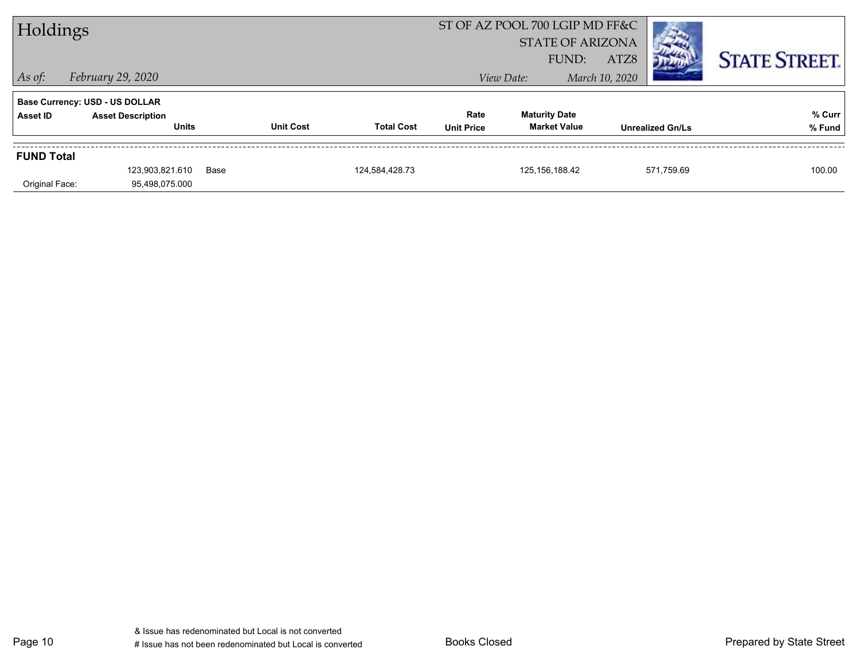| Holdings          |                                       |                  |                   |                   | ST OF AZ POOL 700 LGIP MD FF&C |                         |                      |
|-------------------|---------------------------------------|------------------|-------------------|-------------------|--------------------------------|-------------------------|----------------------|
|                   |                                       |                  |                   |                   | <b>STATE OF ARIZONA</b>        |                         |                      |
|                   |                                       |                  |                   |                   | FUND:                          | ATZ8                    | <b>STATE STREET.</b> |
| $\vert$ As of:    | February 29, 2020                     |                  |                   |                   | View Date:                     | March 10, 2020          |                      |
|                   | <b>Base Currency: USD - US DOLLAR</b> |                  |                   |                   |                                |                         |                      |
| Asset ID          | <b>Asset Description</b>              |                  |                   | Rate              | <b>Maturity Date</b>           |                         | % Curr               |
|                   | <b>Units</b>                          | <b>Unit Cost</b> | <b>Total Cost</b> | <b>Unit Price</b> | <b>Market Value</b>            | <b>Unrealized Gn/Ls</b> | % Fund               |
|                   |                                       |                  |                   |                   |                                |                         |                      |
| <b>FUND Total</b> |                                       |                  |                   |                   |                                |                         |                      |
|                   | 123,903,821.610                       | Base             | 124,584,428.73    |                   | 125, 156, 188.42               | 571,759.69              | 100.00               |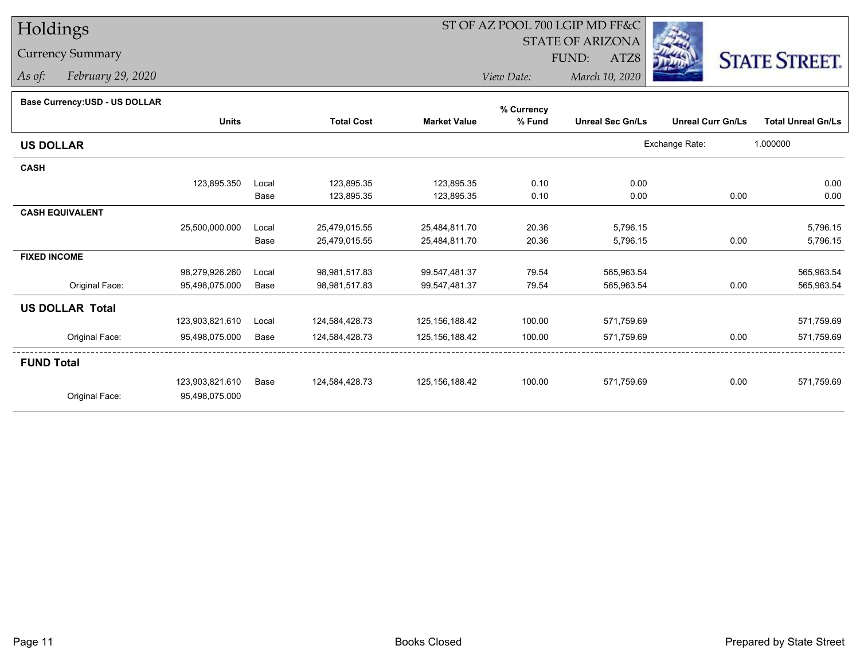# Holdings

# Currency Summary

*As of: February 29, 2020*

# ST OF AZ POOL 700 LGIP MD FF&C

STATE OF ARIZONA

ATZ8



*View Date: March 10, 2020*FUND:

### **Base Currency:USD - US DOLLAR**

|                        |                 |       |                   |                     | % Currency |                         |                          |                           |
|------------------------|-----------------|-------|-------------------|---------------------|------------|-------------------------|--------------------------|---------------------------|
|                        | <b>Units</b>    |       | <b>Total Cost</b> | <b>Market Value</b> | % Fund     | <b>Unreal Sec Gn/Ls</b> | <b>Unreal Curr Gn/Ls</b> | <b>Total Unreal Gn/Ls</b> |
| <b>US DOLLAR</b>       |                 |       |                   |                     |            |                         | Exchange Rate:           | 1.000000                  |
| <b>CASH</b>            |                 |       |                   |                     |            |                         |                          |                           |
|                        | 123,895.350     | Local | 123,895.35        | 123,895.35          | 0.10       | 0.00                    |                          | 0.00                      |
|                        |                 | Base  | 123,895.35        | 123,895.35          | 0.10       | 0.00                    | 0.00                     | 0.00                      |
| <b>CASH EQUIVALENT</b> |                 |       |                   |                     |            |                         |                          |                           |
|                        | 25,500,000.000  | Local | 25,479,015.55     | 25,484,811.70       | 20.36      | 5,796.15                |                          | 5,796.15                  |
|                        |                 | Base  | 25,479,015.55     | 25,484,811.70       | 20.36      | 5,796.15                | 0.00                     | 5,796.15                  |
| <b>FIXED INCOME</b>    |                 |       |                   |                     |            |                         |                          |                           |
|                        | 98,279,926.260  | Local | 98,981,517.83     | 99,547,481.37       | 79.54      | 565,963.54              |                          | 565,963.54                |
| Original Face:         | 95,498,075.000  | Base  | 98,981,517.83     | 99,547,481.37       | 79.54      | 565,963.54              | 0.00                     | 565,963.54                |
| <b>US DOLLAR Total</b> |                 |       |                   |                     |            |                         |                          |                           |
|                        | 123,903,821.610 | Local | 124,584,428.73    | 125, 156, 188.42    | 100.00     | 571,759.69              |                          | 571,759.69                |
| Original Face:         | 95,498,075.000  | Base  | 124,584,428.73    | 125, 156, 188.42    | 100.00     | 571,759.69              | 0.00                     | 571,759.69                |
| <b>FUND Total</b>      |                 |       |                   |                     |            |                         |                          |                           |
|                        | 123,903,821.610 | Base  | 124,584,428.73    | 125, 156, 188.42    | 100.00     | 571,759.69              | 0.00                     | 571,759.69                |
| Original Face:         | 95,498,075.000  |       |                   |                     |            |                         |                          |                           |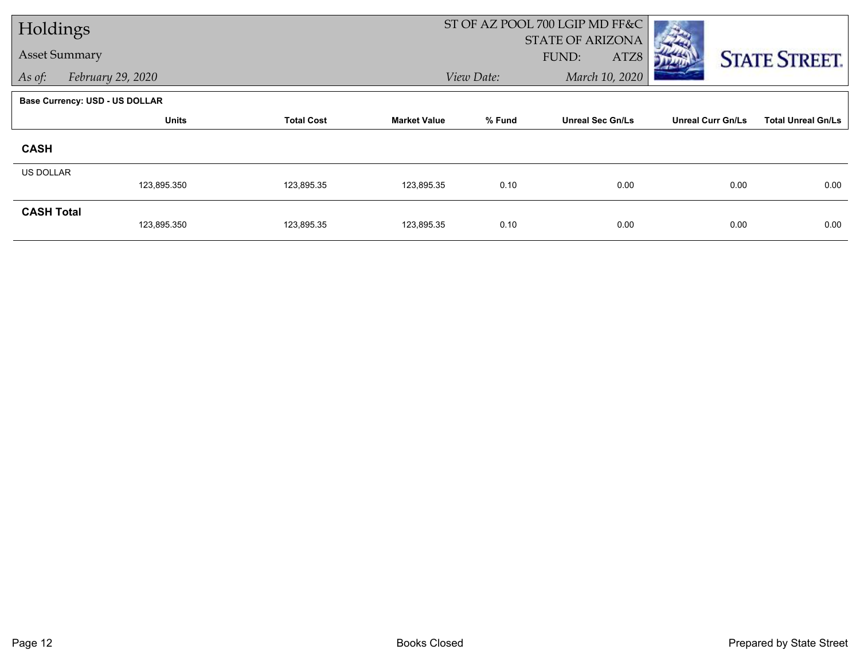| Holdings             |                                       |                   |                     | ST OF AZ POOL 700 LGIP MD FF&C |                         |                          |                           |
|----------------------|---------------------------------------|-------------------|---------------------|--------------------------------|-------------------------|--------------------------|---------------------------|
| <b>Asset Summary</b> |                                       |                   |                     |                                | <b>STATE OF ARIZONA</b> |                          |                           |
|                      |                                       |                   |                     |                                | FUND:<br>ATZ8           |                          | <b>STATE STREET.</b>      |
| As of:               | February 29, 2020                     |                   |                     | March 10, 2020<br>View Date:   |                         |                          |                           |
|                      | <b>Base Currency: USD - US DOLLAR</b> |                   |                     |                                |                         |                          |                           |
|                      | <b>Units</b>                          | <b>Total Cost</b> | <b>Market Value</b> | % Fund                         | <b>Unreal Sec Gn/Ls</b> | <b>Unreal Curr Gn/Ls</b> | <b>Total Unreal Gn/Ls</b> |
| <b>CASH</b>          |                                       |                   |                     |                                |                         |                          |                           |
| <b>US DOLLAR</b>     |                                       |                   |                     |                                |                         |                          |                           |
|                      | 123,895.350                           | 123,895.35        | 123,895.35          | 0.10                           | 0.00                    | 0.00                     | 0.00                      |
| <b>CASH Total</b>    |                                       |                   |                     |                                |                         |                          |                           |
|                      | 123,895.350                           | 123,895.35        | 123,895.35          | 0.10                           | 0.00                    | 0.00                     | 0.00                      |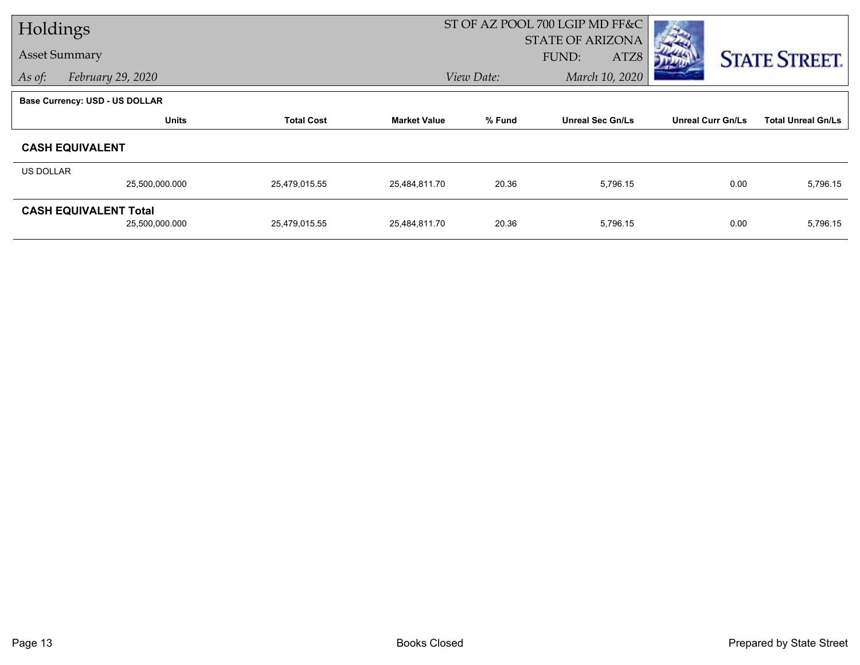| Holdings  |                                |                   |                     |                              | ST OF AZ POOL 700 LGIP MD FF&C |                          |                           |
|-----------|--------------------------------|-------------------|---------------------|------------------------------|--------------------------------|--------------------------|---------------------------|
|           |                                |                   |                     |                              | STATE OF ARIZONA               |                          |                           |
|           | <b>Asset Summary</b>           |                   |                     |                              | <b>FUND:</b><br>ATZ8           |                          | <b>STATE STREET.</b>      |
| As of:    | February 29, 2020              |                   |                     | March 10, 2020<br>View Date: |                                |                          |                           |
|           | Base Currency: USD - US DOLLAR |                   |                     |                              |                                |                          |                           |
|           | <b>Units</b>                   | <b>Total Cost</b> | <b>Market Value</b> | % Fund                       | <b>Unreal Sec Gn/Ls</b>        | <b>Unreal Curr Gn/Ls</b> | <b>Total Unreal Gn/Ls</b> |
|           | <b>CASH EQUIVALENT</b>         |                   |                     |                              |                                |                          |                           |
| US DOLLAR |                                |                   |                     |                              |                                |                          |                           |
|           | 25,500,000.000                 | 25,479,015.55     | 25,484,811.70       | 20.36                        | 5,796.15                       | 0.00                     | 5,796.15                  |
|           | <b>CASH EQUIVALENT Total</b>   |                   |                     |                              |                                |                          |                           |
|           | 25,500,000.000                 | 25,479,015.55     | 25,484,811.70       | 20.36                        | 5,796.15                       | 0.00                     | 5,796.15                  |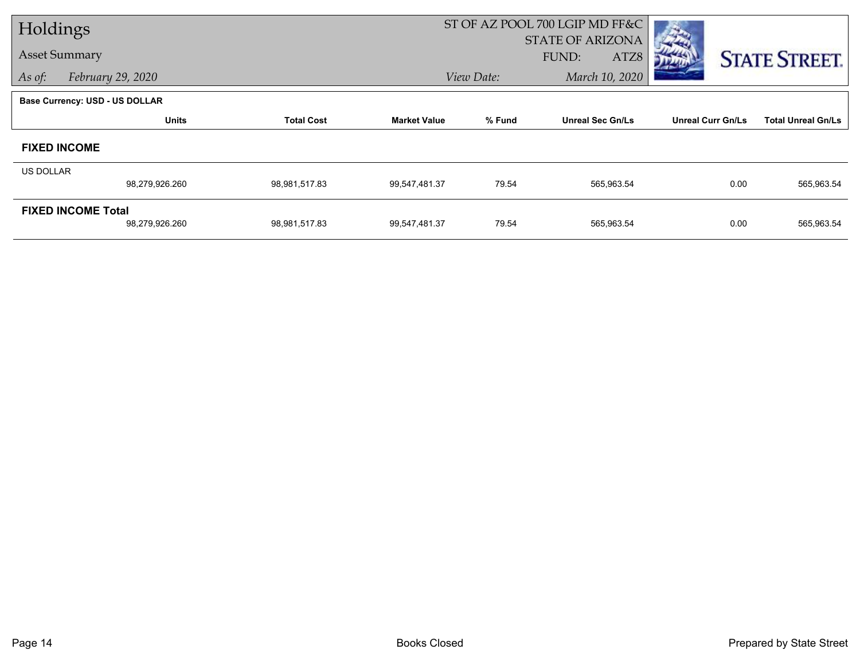| Holdings                              |                |                   |                     |            | ST OF AZ POOL 700 LGIP MD FF&C |                          |                           |
|---------------------------------------|----------------|-------------------|---------------------|------------|--------------------------------|--------------------------|---------------------------|
|                                       |                |                   |                     |            | <b>STATE OF ARIZONA</b>        |                          |                           |
| <b>Asset Summary</b>                  |                |                   |                     |            | FUND:<br>ATZ8                  |                          | <b>STATE STREET.</b>      |
| February 29, 2020<br>As of:           |                |                   |                     | View Date: | March 10, 2020                 |                          |                           |
| <b>Base Currency: USD - US DOLLAR</b> |                |                   |                     |            |                                |                          |                           |
|                                       | <b>Units</b>   | <b>Total Cost</b> | <b>Market Value</b> | % Fund     | <b>Unreal Sec Gn/Ls</b>        | <b>Unreal Curr Gn/Ls</b> | <b>Total Unreal Gn/Ls</b> |
| <b>FIXED INCOME</b>                   |                |                   |                     |            |                                |                          |                           |
| <b>US DOLLAR</b>                      |                |                   |                     |            |                                |                          |                           |
|                                       | 98,279,926.260 | 98,981,517.83     | 99,547,481.37       | 79.54      | 565,963.54                     | 0.00                     | 565,963.54                |
| <b>FIXED INCOME Total</b>             |                |                   |                     |            |                                |                          |                           |
|                                       | 98,279,926.260 | 98,981,517.83     | 99,547,481.37       | 79.54      | 565,963.54                     | 0.00                     | 565,963.54                |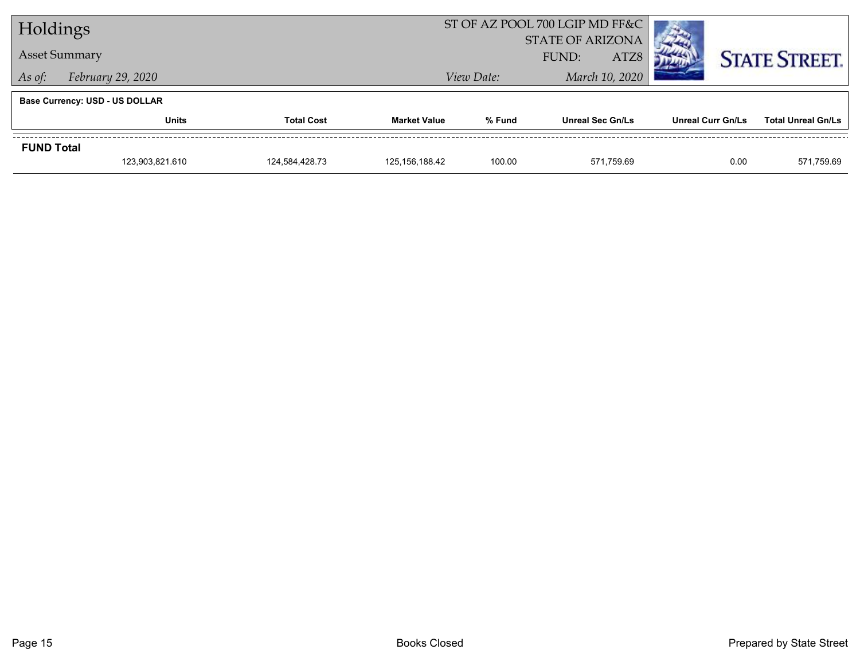| Holdings                    |                                       |                |                     | ST OF AZ POOL 700 LGIP MD FF&C |                         |                          |                           |
|-----------------------------|---------------------------------------|----------------|---------------------|--------------------------------|-------------------------|--------------------------|---------------------------|
|                             |                                       |                |                     | <b>STATE OF ARIZONA</b>        |                         |                          |                           |
| <b>Asset Summary</b>        |                                       |                | ATZ8<br>FUND:       |                                |                         | <b>STATE STREET.</b>     |                           |
| February 29, 2020<br>As of: |                                       |                |                     | View Date:                     | March 10, 2020          |                          |                           |
|                             | <b>Base Currency: USD - US DOLLAR</b> |                |                     |                                |                         |                          |                           |
|                             | <b>Total Cost</b><br><b>Units</b>     |                | <b>Market Value</b> | % Fund                         | <b>Unreal Sec Gn/Ls</b> | <b>Unreal Curr Gn/Ls</b> | <b>Total Unreal Gn/Ls</b> |
| <b>FUND Total</b>           |                                       |                |                     |                                |                         |                          |                           |
|                             | 123,903,821.610                       | 124.584.428.73 | 125, 156, 188.42    | 100.00                         | 571.759.69              | 0.00                     | 571,759.69                |